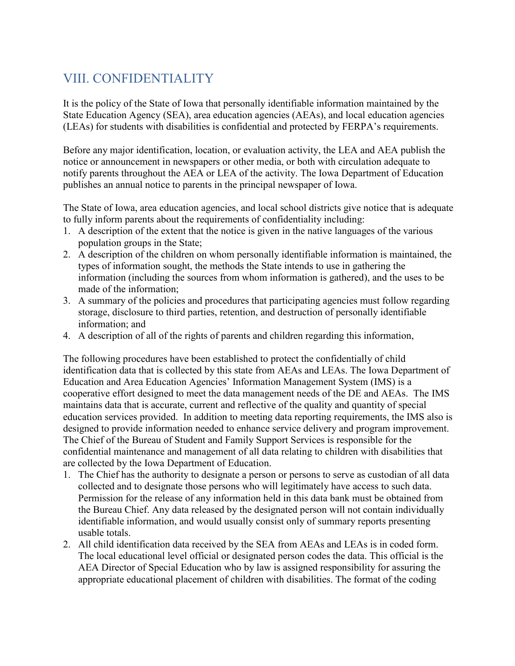# VIII. CONFIDENTIALITY

It is the policy of the State of Iowa that personally identifiable information maintained by the State Education Agency (SEA), area education agencies (AEAs), and local education agencies (LEAs) for students with disabilities is confidential and protected by FERPA's requirements.

Before any major identification, location, or evaluation activity, the LEA and AEA publish the notice or announcement in newspapers or other media, or both with circulation adequate to notify parents throughout the AEA or LEA of the activity. The Iowa Department of Education publishes an annual notice to parents in the principal newspaper of Iowa.

The State of Iowa, area education agencies, and local school districts give notice that is adequate to fully inform parents about the requirements of confidentiality including:

- 1. A description of the extent that the notice is given in the native languages of the various population groups in the State;
- 2. A description of the children on whom personally identifiable information is maintained, the types of information sought, the methods the State intends to use in gathering the information (including the sources from whom information is gathered), and the uses to be made of the information;
- 3. A summary of the policies and procedures that participating agencies must follow regarding storage, disclosure to third parties, retention, and destruction of personally identifiable information; and
- 4. A description of all of the rights of parents and children regarding this information,

The following procedures have been established to protect the confidentially of child identification data that is collected by this state from AEAs and LEAs. The Iowa Department of Education and Area Education Agencies' Information Management System (IMS) is a cooperative effort designed to meet the data management needs of the DE and AEAs. The IMS maintains data that is accurate, current and reflective of the quality and quantity of special education services provided. In addition to meeting data reporting requirements, the IMS also is designed to provide information needed to enhance service delivery and program improvement. The Chief of the Bureau of Student and Family Support Services is responsible for the confidential maintenance and management of all data relating to children with disabilities that are collected by the Iowa Department of Education.

- 1. The Chief has the authority to designate a person or persons to serve as custodian of all data collected and to designate those persons who will legitimately have access to such data. Permission for the release of any information held in this data bank must be obtained from the Bureau Chief. Any data released by the designated person will not contain individually identifiable information, and would usually consist only of summary reports presenting usable totals.
- 2. All child identification data received by the SEA from AEAs and LEAs is in coded form. The local educational level official or designated person codes the data. This official is the AEA Director of Special Education who by law is assigned responsibility for assuring the appropriate educational placement of children with disabilities. The format of the coding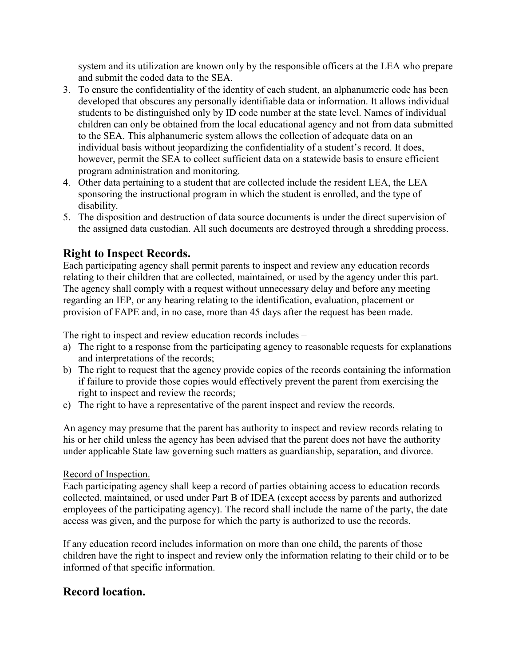system and its utilization are known only by the responsible officers at the LEA who prepare and submit the coded data to the SEA.

- 3. To ensure the confidentiality of the identity of each student, an alphanumeric code has been developed that obscures any personally identifiable data or information. It allows individual students to be distinguished only by ID code number at the state level. Names of individual children can only be obtained from the local educational agency and not from data submitted to the SEA. This alphanumeric system allows the collection of adequate data on an individual basis without jeopardizing the confidentiality of a student's record. It does, however, permit the SEA to collect sufficient data on a statewide basis to ensure efficient program administration and monitoring.
- 4. Other data pertaining to a student that are collected include the resident LEA, the LEA sponsoring the instructional program in which the student is enrolled, and the type of disability.
- 5. The disposition and destruction of data source documents is under the direct supervision of the assigned data custodian. All such documents are destroyed through a shredding process.

## **Right to Inspect Records.**

Each participating agency shall permit parents to inspect and review any education records relating to their children that are collected, maintained, or used by the agency under this part. The agency shall comply with a request without unnecessary delay and before any meeting regarding an IEP, or any hearing relating to the identification, evaluation, placement or provision of FAPE and, in no case, more than 45 days after the request has been made.

The right to inspect and review education records includes –

- a) The right to a response from the participating agency to reasonable requests for explanations and interpretations of the records;
- b) The right to request that the agency provide copies of the records containing the information if failure to provide those copies would effectively prevent the parent from exercising the right to inspect and review the records;
- c) The right to have a representative of the parent inspect and review the records.

An agency may presume that the parent has authority to inspect and review records relating to his or her child unless the agency has been advised that the parent does not have the authority under applicable State law governing such matters as guardianship, separation, and divorce.

#### Record of Inspection.

Each participating agency shall keep a record of parties obtaining access to education records collected, maintained, or used under Part B of IDEA (except access by parents and authorized employees of the participating agency). The record shall include the name of the party, the date access was given, and the purpose for which the party is authorized to use the records.

If any education record includes information on more than one child, the parents of those children have the right to inspect and review only the information relating to their child or to be informed of that specific information.

## **Record location.**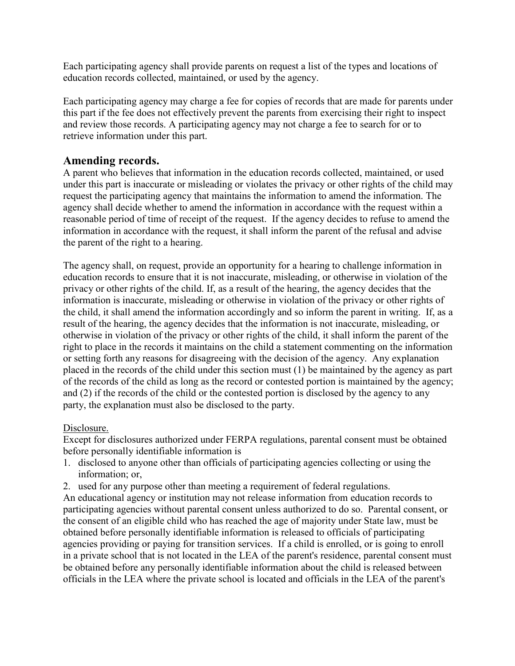Each participating agency shall provide parents on request a list of the types and locations of education records collected, maintained, or used by the agency.

Each participating agency may charge a fee for copies of records that are made for parents under this part if the fee does not effectively prevent the parents from exercising their right to inspect and review those records. A participating agency may not charge a fee to search for or to retrieve information under this part.

### **Amending records.**

A parent who believes that information in the education records collected, maintained, or used under this part is inaccurate or misleading or violates the privacy or other rights of the child may request the participating agency that maintains the information to amend the information. The agency shall decide whether to amend the information in accordance with the request within a reasonable period of time of receipt of the request. If the agency decides to refuse to amend the information in accordance with the request, it shall inform the parent of the refusal and advise the parent of the right to a hearing.

The agency shall, on request, provide an opportunity for a hearing to challenge information in education records to ensure that it is not inaccurate, misleading, or otherwise in violation of the privacy or other rights of the child. If, as a result of the hearing, the agency decides that the information is inaccurate, misleading or otherwise in violation of the privacy or other rights of the child, it shall amend the information accordingly and so inform the parent in writing. If, as a result of the hearing, the agency decides that the information is not inaccurate, misleading, or otherwise in violation of the privacy or other rights of the child, it shall inform the parent of the right to place in the records it maintains on the child a statement commenting on the information or setting forth any reasons for disagreeing with the decision of the agency. Any explanation placed in the records of the child under this section must (1) be maintained by the agency as part of the records of the child as long as the record or contested portion is maintained by the agency; and (2) if the records of the child or the contested portion is disclosed by the agency to any party, the explanation must also be disclosed to the party.

#### Disclosure.

Except for disclosures authorized under FERPA regulations, parental consent must be obtained before personally identifiable information is

- 1. disclosed to anyone other than officials of participating agencies collecting or using the information; or,
- 2. used for any purpose other than meeting a requirement of federal regulations.

An educational agency or institution may not release information from education records to participating agencies without parental consent unless authorized to do so. Parental consent, or the consent of an eligible child who has reached the age of majority under State law, must be obtained before personally identifiable information is released to officials of participating agencies providing or paying for transition services. If a child is enrolled, or is going to enroll in a private school that is not located in the LEA of the parent's residence, parental consent must be obtained before any personally identifiable information about the child is released between officials in the LEA where the private school is located and officials in the LEA of the parent's